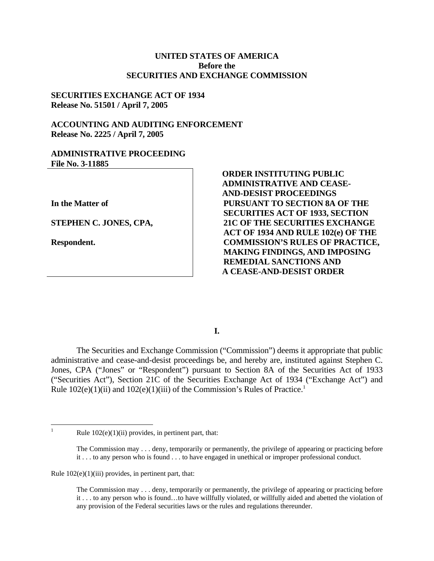### **UNITED STATES OF AMERICA Before the SECURITIES AND EXCHANGE COMMISSION**

### **SECURITIES EXCHANGE ACT OF 1934 Release No. 51501 / April 7, 2005**

### **ACCOUNTING AND AUDITING ENFORCEMENT Release No. 2225 / April 7, 2005**

#### **ADMINISTRATIVE PROCEEDING File No. 3-11885**

**In the Matter of** 

 **STEPHEN C. JONES, CPA,**

**Respondent.** 

**ORDER INSTITUTING PUBLIC ADMINISTRATIVE AND CEASE-AND-DESIST PROCEEDINGS PURSUANT TO SECTION 8A OF THE SECURITIES ACT OF 1933, SECTION 21C OF THE SECURITIES EXCHANGE ACT OF 1934 AND RULE 102(e) OF THE COMMISSION'S RULES OF PRACTICE, MAKING FINDINGS, AND IMPOSING REMEDIAL SANCTIONS AND A CEASE-AND-DESIST ORDER** 

# **I.**

The Securities and Exchange Commission ("Commission") deems it appropriate that public administrative and cease-and-desist proceedings be, and hereby are, instituted against Stephen C. Jones, CPA ("Jones" or "Respondent") pursuant to Section 8A of the Securities Act of 1933 ("Securities Act"), Section 21C of the Securities Exchange Act of 1934 ("Exchange Act") and Rule  $102(e)(1)(ii)$  and  $102(e)(1)(iii)$  of the Commission's Rules of Practice.<sup>1</sup>

 $\overline{a}$ 1

Rule  $102(e)(1)(ii)$  provides, in pertinent part, that:

 it . . . to any person who is found . . . to have engaged in unethical or improper professional conduct. The Commission may . . . deny, temporarily or permanently, the privilege of appearing or practicing before

Rule 102(e)(1)(iii) provides, in pertinent part, that:

The Commission may . . . deny, temporarily or permanently, the privilege of appearing or practicing before it . . . to any person who is found…to have willfully violated, or willfully aided and abetted the violation of any provision of the Federal securities laws or the rules and regulations thereunder.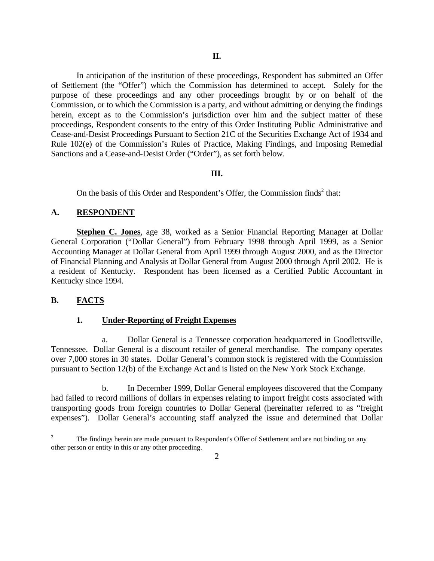In anticipation of the institution of these proceedings, Respondent has submitted an Offer of Settlement (the "Offer") which the Commission has determined to accept. Solely for the purpose of these proceedings and any other proceedings brought by or on behalf of the Commission, or to which the Commission is a party, and without admitting or denying the findings herein, except as to the Commission's jurisdiction over him and the subject matter of these proceedings, Respondent consents to the entry of this Order Instituting Public Administrative and Cease-and-Desist Proceedings Pursuant to Section 21C of the Securities Exchange Act of 1934 and Rule 102(e) of the Commission's Rules of Practice, Making Findings, and Imposing Remedial Sanctions and a Cease-and-Desist Order ("Order"), as set forth below.

### **III.**

On the basis of this Order and Respondent's Offer, the Commission finds<sup>2</sup> that:

### A. RESPONDENT

**Stephen C. Jones**, age 38, worked as a Senior Financial Reporting Manager at Dollar General Corporation ("Dollar General") from February 1998 through April 1999, as a Senior Accounting Manager at Dollar General from April 1999 through August 2000, and as the Director of Financial Planning and Analysis at Dollar General from August 2000 through April 2002. He is a resident of Kentucky. Respondent has been licensed as a Certified Public Accountant in Kentucky since 1994.

# **B. FACTS**

### **1. Under-Reporting of Freight Expenses**

a. Dollar General is a Tennessee corporation headquartered in Goodlettsville, Tennessee. Dollar General is a discount retailer of general merchandise. The company operates over 7,000 stores in 30 states. Dollar General's common stock is registered with the Commission pursuant to Section 12(b) of the Exchange Act and is listed on the New York Stock Exchange.

b. In December 1999, Dollar General employees discovered that the Company had failed to record millions of dollars in expenses relating to import freight costs associated with transporting goods from foreign countries to Dollar General (hereinafter referred to as "freight expenses"). Dollar General's accounting staff analyzed the issue and determined that Dollar

<sup>1</sup>  2 The findings herein are made pursuant to Respondent's Offer of Settlement and are not binding on any other person or entity in this or any other proceeding.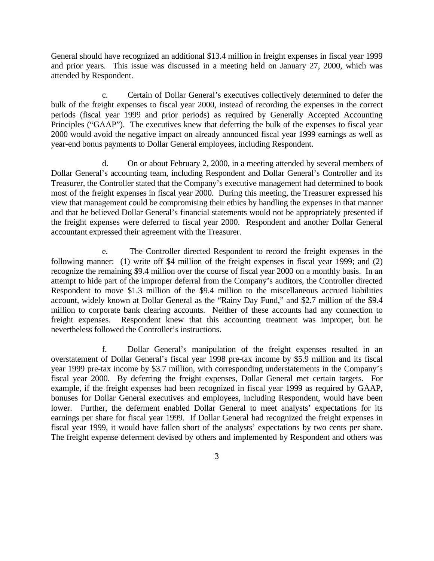General should have recognized an additional \$13.4 million in freight expenses in fiscal year 1999 and prior years. This issue was discussed in a meeting held on January 27, 2000, which was attended by Respondent.

c. Certain of Dollar General's executives collectively determined to defer the bulk of the freight expenses to fiscal year 2000, instead of recording the expenses in the correct periods (fiscal year 1999 and prior periods) as required by Generally Accepted Accounting Principles ("GAAP"). The executives knew that deferring the bulk of the expenses to fiscal year 2000 would avoid the negative impact on already announced fiscal year 1999 earnings as well as year-end bonus payments to Dollar General employees, including Respondent.

d. On or about February 2, 2000, in a meeting attended by several members of Dollar General's accounting team, including Respondent and Dollar General's Controller and its Treasurer, the Controller stated that the Company's executive management had determined to book most of the freight expenses in fiscal year 2000. During this meeting, the Treasurer expressed his view that management could be compromising their ethics by handling the expenses in that manner and that he believed Dollar General's financial statements would not be appropriately presented if the freight expenses were deferred to fiscal year 2000. Respondent and another Dollar General accountant expressed their agreement with the Treasurer.

e. The Controller directed Respondent to record the freight expenses in the following manner: (1) write off \$4 million of the freight expenses in fiscal year 1999; and (2) recognize the remaining \$9.4 million over the course of fiscal year 2000 on a monthly basis. In an attempt to hide part of the improper deferral from the Company's auditors, the Controller directed Respondent to move \$1.3 million of the \$9.4 million to the miscellaneous accrued liabilities account, widely known at Dollar General as the "Rainy Day Fund," and \$2.7 million of the \$9.4 million to corporate bank clearing accounts. Neither of these accounts had any connection to freight expenses. Respondent knew that this accounting treatment was improper, but he nevertheless followed the Controller's instructions.

f. fiscal year 1999, it would have fallen short of the analysts' expectations by two cents per share. f. Dollar General's manipulation of the freight expenses resulted in an overstatement of Dollar General's fiscal year 1998 pre-tax income by \$5.9 million and its fiscal year 1999 pre-tax income by \$3.7 million, with corresponding understatements in the Company's fiscal year 2000. By deferring the freight expenses, Dollar General met certain targets. For example, if the freight expenses had been recognized in fiscal year 1999 as required by GAAP, bonuses for Dollar General executives and employees, including Respondent, would have been lower. Further, the deferment enabled Dollar General to meet analysts' expectations for its earnings per share for fiscal year 1999. If Dollar General had recognized the freight expenses in The freight expense deferment devised by others and implemented by Respondent and others was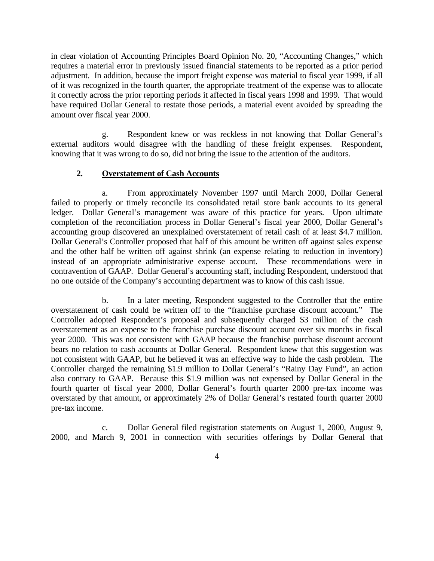in clear violation of Accounting Principles Board Opinion No. 20, "Accounting Changes," which requires a material error in previously issued financial statements to be reported as a prior period adjustment. In addition, because the import freight expense was material to fiscal year 1999, if all of it was recognized in the fourth quarter, the appropriate treatment of the expense was to allocate it correctly across the prior reporting periods it affected in fiscal years 1998 and 1999. That would have required Dollar General to restate those periods, a material event avoided by spreading the amount over fiscal year 2000.

g. Respondent knew or was reckless in not knowing that Dollar General's external auditors would disagree with the handling of these freight expenses. Respondent, knowing that it was wrong to do so, did not bring the issue to the attention of the auditors.

### **2. Overstatement of Cash Accounts**

accounting group discovered an unexplained overstatement of retail cash of at least \$4.7 million. a. From approximately November 1997 until March 2000, Dollar General failed to properly or timely reconcile its consolidated retail store bank accounts to its general ledger. Dollar General's management was aware of this practice for years. Upon ultimate completion of the reconciliation process in Dollar General's fiscal year 2000, Dollar General's Dollar General's Controller proposed that half of this amount be written off against sales expense and the other half be written off against shrink (an expense relating to reduction in inventory) instead of an appropriate administrative expense account. These recommendations were in contravention of GAAP. Dollar General's accounting staff, including Respondent, understood that no one outside of the Company's accounting department was to know of this cash issue.

b. In a later meeting, Respondent suggested to the Controller that the entire overstatement of cash could be written off to the "franchise purchase discount account." The Controller adopted Respondent's proposal and subsequently charged \$3 million of the cash overstatement as an expense to the franchise purchase discount account over six months in fiscal year 2000. This was not consistent with GAAP because the franchise purchase discount account bears no relation to cash accounts at Dollar General. Respondent knew that this suggestion was not consistent with GAAP, but he believed it was an effective way to hide the cash problem. The Controller charged the remaining \$1.9 million to Dollar General's "Rainy Day Fund", an action also contrary to GAAP. Because this \$1.9 million was not expensed by Dollar General in the fourth quarter of fiscal year 2000, Dollar General's fourth quarter 2000 pre-tax income was overstated by that amount, or approximately 2% of Dollar General's restated fourth quarter 2000 pre-tax income.

c. Dollar General filed registration statements on August 1, 2000, August 9, 2000, and March 9, 2001 in connection with securities offerings by Dollar General that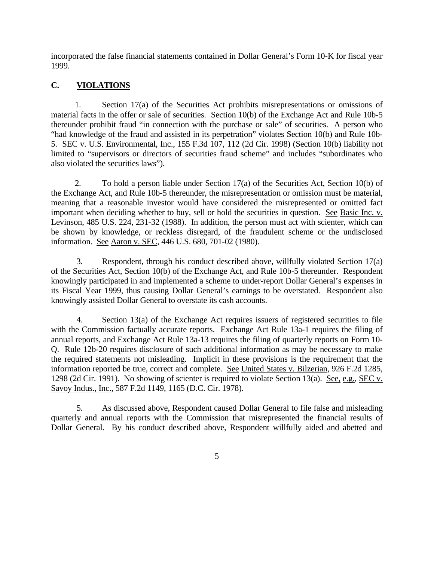incorporated the false financial statements contained in Dollar General's Form 10-K for fiscal year 1999.

# **C. VIOLATIONS**

1. Section 17(a) of the Securities Act prohibits misrepresentations or omissions of material facts in the offer or sale of securities. Section 10(b) of the Exchange Act and Rule 10b-5 thereunder prohibit fraud "in connection with the purchase or sale" of securities. A person who "had knowledge of the fraud and assisted in its perpetration" violates Section 10(b) and Rule 10b-5. SEC v. U.S. Environmental, Inc., 155 F.3d 107, 112 (2d Cir. 1998) (Section 10(b) liability not limited to "supervisors or directors of securities fraud scheme" and includes "subordinates who also violated the securities laws").

2. To hold a person liable under Section 17(a) of the Securities Act, Section 10(b) of the Exchange Act, and Rule 10b-5 thereunder, the misrepresentation or omission must be material, meaning that a reasonable investor would have considered the misrepresented or omitted fact important when deciding whether to buy, sell or hold the securities in question. See Basic Inc. v. Levinson, 485 U.S. 224, 231-32 (1988). In addition, the person must act with scienter, which can be shown by knowledge, or reckless disregard, of the fraudulent scheme or the undisclosed information. See Aaron v. SEC, 446 U.S. 680, 701-02 (1980).

3. Respondent, through his conduct described above, willfully violated Section 17(a) of the Securities Act, Section 10(b) of the Exchange Act, and Rule 10b-5 thereunder. Respondent knowingly participated in and implemented a scheme to under-report Dollar General's expenses in its Fiscal Year 1999, thus causing Dollar General's earnings to be overstated. Respondent also knowingly assisted Dollar General to overstate its cash accounts.

4. Section 13(a) of the Exchange Act requires issuers of registered securities to file with the Commission factually accurate reports. Exchange Act Rule 13a-1 requires the filing of annual reports, and Exchange Act Rule 13a-13 requires the filing of quarterly reports on Form 10- Q. Rule 12b-20 requires disclosure of such additional information as may be necessary to make the required statements not misleading. Implicit in these provisions is the requirement that the information reported be true, correct and complete. See United States v. Bilzerian, 926 F.2d 1285, 1298 (2d Cir. 1991). No showing of scienter is required to violate Section 13(a). See, e.g.*,* SEC v. Savoy Indus., Inc., 587 F.2d 1149, 1165 (D.C. Cir. 1978).

5. As discussed above, Respondent caused Dollar General to file false and misleading quarterly and annual reports with the Commission that misrepresented the financial results of Dollar General. By his conduct described above, Respondent willfully aided and abetted and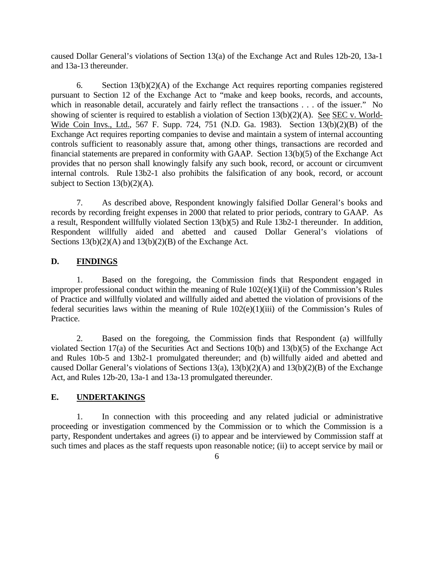caused Dollar General's violations of Section 13(a) of the Exchange Act and Rules 12b-20, 13a-1 and 13a-13 thereunder.

6. Section 13(b)(2)(A) of the Exchange Act requires reporting companies registered pursuant to Section 12 of the Exchange Act to "make and keep books, records, and accounts, which in reasonable detail, accurately and fairly reflect the transactions . . . of the issuer." No showing of scienter is required to establish a violation of Section 13(b)(2)(A). See SEC v. World-Wide Coin Invs., Ltd., 567 F. Supp. 724, 751 (N.D. Ga. 1983). Section 13(b)(2)(B) of the Exchange Act requires reporting companies to devise and maintain a system of internal accounting controls sufficient to reasonably assure that, among other things, transactions are recorded and financial statements are prepared in conformity with GAAP. Section 13(b)(5) of the Exchange Act provides that no person shall knowingly falsify any such book, record, or account or circumvent internal controls. Rule 13b2-1 also prohibits the falsification of any book, record, or account subject to Section 13(b)(2)(A).

7. As described above, Respondent knowingly falsified Dollar General's books and records by recording freight expenses in 2000 that related to prior periods, contrary to GAAP. As a result, Respondent willfully violated Section 13(b)(5) and Rule 13b2-1 thereunder. In addition, Respondent willfully aided and abetted and caused Dollar General's violations of Sections  $13(b)(2)(A)$  and  $13(b)(2)(B)$  of the Exchange Act.

# **D. FINDINGS**

1. Based on the foregoing, the Commission finds that Respondent engaged in improper professional conduct within the meaning of Rule 102(e)(1)(ii) of the Commission's Rules of Practice and willfully violated and willfully aided and abetted the violation of provisions of the federal securities laws within the meaning of Rule  $102(e)(1)(iii)$  of the Commission's Rules of Practice.

2. Based on the foregoing, the Commission finds that Respondent (a) willfully violated Section 17(a) of the Securities Act and Sections 10(b) and 13(b)(5) of the Exchange Act and Rules 10b-5 and 13b2-1 promulgated thereunder; and (b) willfully aided and abetted and caused Dollar General's violations of Sections 13(a), 13(b)(2)(A) and 13(b)(2)(B) of the Exchange Act, and Rules 12b-20, 13a-1 and 13a-13 promulgated thereunder.

# **E. UNDERTAKINGS**

1. In connection with this proceeding and any related judicial or administrative proceeding or investigation commenced by the Commission or to which the Commission is a party, Respondent undertakes and agrees (i) to appear and be interviewed by Commission staff at such times and places as the staff requests upon reasonable notice; (ii) to accept service by mail or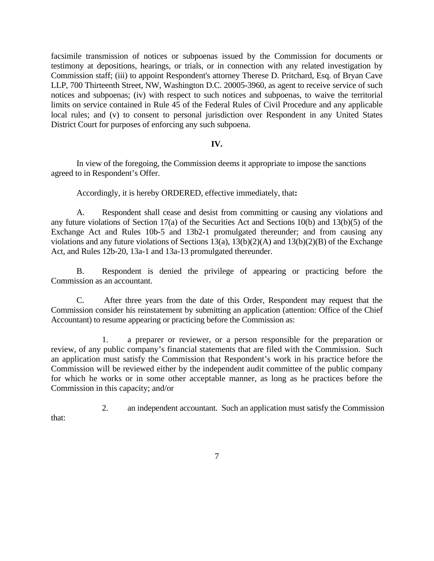facsimile transmission of notices or subpoenas issued by the Commission for documents or testimony at depositions, hearings, or trials, or in connection with any related investigation by Commission staff; (iii) to appoint Respondent's attorney Therese D. Pritchard, Esq. of Bryan Cave LLP, 700 Thirteenth Street, NW, Washington D.C. 20005-3960, as agent to receive service of such notices and subpoenas; (iv) with respect to such notices and subpoenas, to waive the territorial limits on service contained in Rule 45 of the Federal Rules of Civil Procedure and any applicable local rules; and (v) to consent to personal jurisdiction over Respondent in any United States District Court for purposes of enforcing any such subpoena.

#### **IV.**

In view of the foregoing, the Commission deems it appropriate to impose the sanctions agreed to in Respondent's Offer.

Accordingly, it is hereby ORDERED, effective immediately, that**:** 

A. Respondent shall cease and desist from committing or causing any violations and any future violations of Section 17(a) of the Securities Act and Sections 10(b) and 13(b)(5) of the Exchange Act and Rules 10b-5 and 13b2-1 promulgated thereunder; and from causing any violations and any future violations of Sections 13(a), 13(b)(2)(A) and 13(b)(2)(B) of the Exchange Act, and Rules 12b-20, 13a-1 and 13a-13 promulgated thereunder.

B. Respondent is denied the privilege of appearing or practicing before the Commission as an accountant.

C. After three years from the date of this Order, Respondent may request that the Commission consider his reinstatement by submitting an application (attention: Office of the Chief Accountant) to resume appearing or practicing before the Commission as:

1. a preparer or reviewer, or a person responsible for the preparation or review, of any public company's financial statements that are filed with the Commission. Such an application must satisfy the Commission that Respondent's work in his practice before the Commission will be reviewed either by the independent audit committee of the public company for which he works or in some other acceptable manner, as long as he practices before the Commission in this capacity; and/or

2. an independent accountant. Such an application must satisfy the Commission

that: